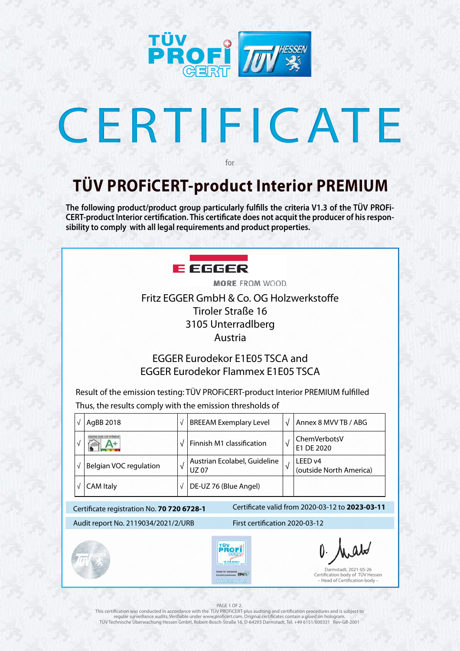

# CERTIFICATE

### **TÜV PROFiCERT-product Interior PREMIUM**

for

**The following product/product group particularly fulfills the criteria V1.3 of the TÜV PROFi-CERT-product Interior certification. This certificate does not acquit the producer of his responsibility to comply with all legal requirements and product properties.** 



**MORE FROM WOOD.** Fritz EGGER GmbH & Co. OG Holzwerkstoffe Tiroler Straße 16 3105 Unterradlberg Austria

| $\sqrt{}$<br>$\sqrt{ }$             | Finnish M1 classification<br>Austrian Ecolabel, Guideline | $\sqrt{ }$                                              | ChemVerbotsV<br>E1 DE 2020                                                                                |
|-------------------------------------|-----------------------------------------------------------|---------------------------------------------------------|-----------------------------------------------------------------------------------------------------------|
|                                     |                                                           |                                                         |                                                                                                           |
|                                     | <b>UZ07</b>                                               | $\sqrt{ }$                                              | LEED <sub>v4</sub><br>(outside North America)                                                             |
| $\sqrt{2}$                          | DE-UZ 76 (Blue Angel)                                     |                                                         |                                                                                                           |
|                                     |                                                           |                                                         | Certificate valid from 2020-03-12 to 2023-03-11                                                           |
| Audit report No. 2119034/2021/2/URB |                                                           |                                                         |                                                                                                           |
|                                     | <b>TÜV</b><br>70 720 8728<br>utstances EPH                |                                                         | $0.$ Analo<br>Darmstadt, 2021-05-26<br>Certification body of TÜV Hessen<br>- Head of Certification body - |
|                                     |                                                           | Certificate registration No. 70 720 6728-1<br>PIREMINUM | First certification 2020-03-12                                                                            |

### PAGE 1 OF 2.

This certification was conducted in accordance with the TÜV PROFiCERT-plus auditing and certification procedures and is subject to regular surveillance audits. Verifiable under www.proficert.com. Original certificates contain a glued on hologram. TÜV Technische Überwachung Hessen GmbH, Robert-Bosch-Straße 16, D-64293 Darmstadt, Tel. +49 6151/600331 Rev-GB-2001

### EGGER Eurodekor E1E05 TSCA and EGGER Eurodekor Flammex E1E05 TSCA

Result of the emission testing: TÜV PROFiCERT-product Interior PREMIUM fulfilled Thus, the results comply with the emission thresholds of